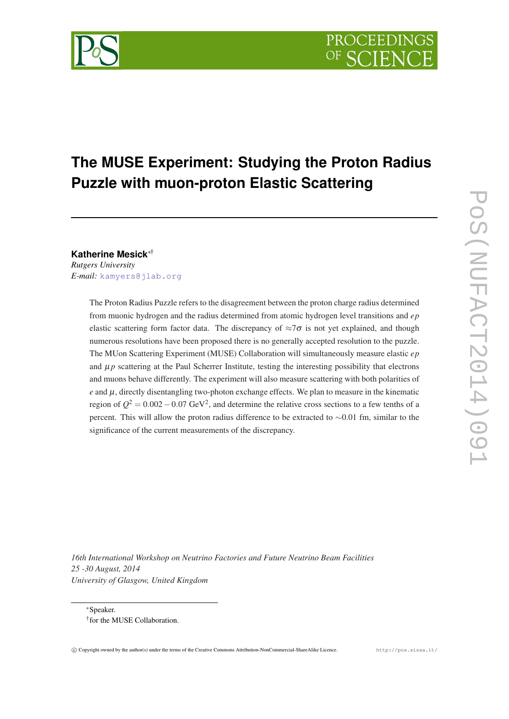# **The MUSE Experiment: Studying the Proton Radius Puzzle with muon-proton Elastic Scattering**

**Katherine Mesick**∗†

*Rutgers University E-mail:* [kamyers@jlab.org](mailto:kamyers@jlab.org)

> The Proton Radius Puzzle refers to the disagreement between the proton charge radius determined from muonic hydrogen and the radius determined from atomic hydrogen level transitions and *ep* elastic scattering form factor data. The discrepancy of  $\approx 7\sigma$  is not yet explained, and though numerous resolutions have been proposed there is no generally accepted resolution to the puzzle. The MUon Scattering Experiment (MUSE) Collaboration will simultaneously measure elastic *ep* and  $\mu p$  scattering at the Paul Scherrer Institute, testing the interesting possibility that electrons and muons behave differently. The experiment will also measure scattering with both polarities of  $e$  and  $\mu$ , directly disentangling two-photon exchange effects. We plan to measure in the kinematic region of  $Q^2 = 0.002 - 0.07$  GeV<sup>2</sup>, and determine the relative cross sections to a few tenths of a percent. This will allow the proton radius difference to be extracted to ∼0.01 fm, similar to the significance of the current measurements of the discrepancy.

*16th International Workshop on Neutrino Factories and Future Neutrino Beam Facilities 25 -30 August, 2014 University of Glasgow, United Kingdom*



<sup>∗</sup>Speaker. † for the MUSE Collaboration.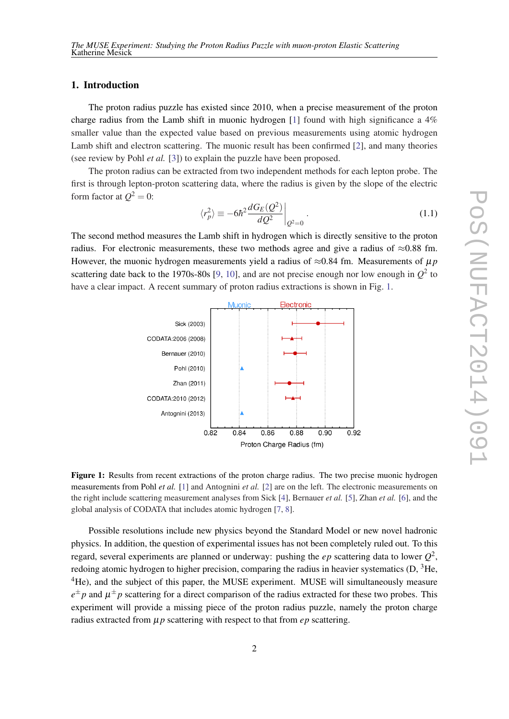# 1. Introduction

The proton radius puzzle has existed since 2010, when a precise measurement of the proton charge radius from the Lamb shift in muonic hydrogen [[1](#page-6-0)] found with high significance a 4% smaller value than the expected value based on previous measurements using atomic hydrogen Lamb shift and electron scattering. The muonic result has been confirmed [\[2\]](#page-6-0), and many theories (see review by Pohl *et al.* [[3](#page-6-0)]) to explain the puzzle have been proposed.

The proton radius can be extracted from two independent methods for each lepton probe. The first is through lepton-proton scattering data, where the radius is given by the slope of the electric form factor at  $Q^2=0$ :

$$
\langle r_p^2 \rangle \equiv -6\hbar^2 \frac{dG_E(Q^2)}{dQ^2} \bigg|_{Q^2=0} \,. \tag{1.1}
$$

The second method measures the Lamb shift in hydrogen which is directly sensitive to the proton radius. For electronic measurements, these two methods agree and give a radius of  $\approx 0.88$  fm. However, the muonic hydrogen measurements yield a radius of  $\approx 0.84$  fm. Measurements of  $\mu$ *p* scattering date back to the 1[9](#page-6-0)70s-80s [9, [10\]](#page-6-0), and are not precise enough nor low enough in  $Q^2$  to have a clear impact. A recent summary of proton radius extractions is shown in Fig. 1.



Figure 1: Results from recent extractions of the proton charge radius. The two precise muonic hydrogen measurements from Pohl *et al.* [[1\]](#page-6-0) and Antognini *et al.* [\[2](#page-6-0)] are on the left. The electronic measurements on the right include scattering measurement analyses from Sick [\[4\]](#page-6-0), Bernauer *et al.* [\[5](#page-6-0)], Zhan *et al.* [[6\]](#page-6-0), and the global analysis of CODATA that includes atomic hydrogen [[7,](#page-6-0) [8\]](#page-6-0).

Possible resolutions include new physics beyond the Standard Model or new novel hadronic physics. In addition, the question of experimental issues has not been completely ruled out. To this regard, several experiments are planned or underway: pushing the *ep* scattering data to lower *Q* 2 , redoing atomic hydrogen to higher precision, comparing the radius in heavier systematics  $(D, \, 3He)$ , <sup>4</sup>He), and the subject of this paper, the MUSE experiment. MUSE will simultaneously measure  $e^{\pm}p$  and  $\mu^{\pm}p$  scattering for a direct comparison of the radius extracted for these two probes. This experiment will provide a missing piece of the proton radius puzzle, namely the proton charge radius extracted from  $\mu$ *p* scattering with respect to that from *ep* scattering.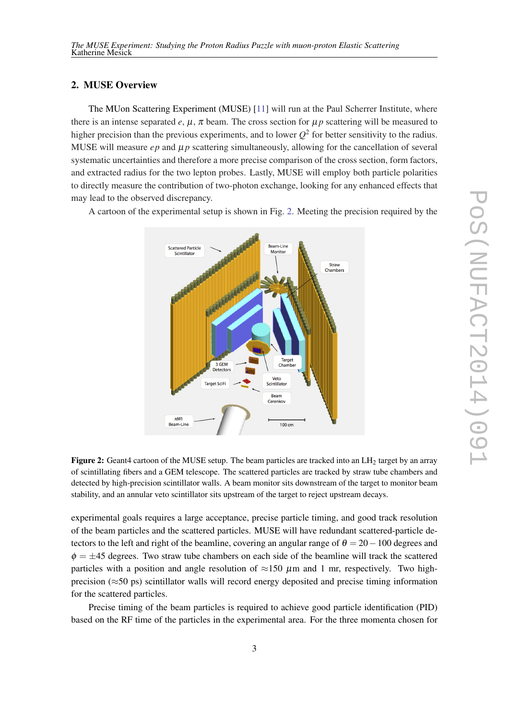# 2. MUSE Overview

The MUon Scattering Experiment (MUSE) [\[11\]](#page-6-0) will run at the Paul Scherrer Institute, where there is an intense separated  $e, \mu, \pi$  beam. The cross section for  $\mu p$  scattering will be measured to higher precision than the previous experiments, and to lower  $Q^2$  for better sensitivity to the radius. MUSE will measure *ep* and  $\mu$ *p* scattering simultaneously, allowing for the cancellation of several systematic uncertainties and therefore a more precise comparison of the cross section, form factors, and extracted radius for the two lepton probes. Lastly, MUSE will employ both particle polarities to directly measure the contribution of two-photon exchange, looking for any enhanced effects that may lead to the observed discrepancy.



A cartoon of the experimental setup is shown in Fig. 2. Meeting the precision required by the

Figure 2: Geant4 cartoon of the MUSE setup. The beam particles are tracked into an LH<sub>2</sub> target by an array of scintillating fibers and a GEM telescope. The scattered particles are tracked by straw tube chambers and detected by high-precision scintillator walls. A beam monitor sits downstream of the target to monitor beam stability, and an annular veto scintillator sits upstream of the target to reject upstream decays.

experimental goals requires a large acceptance, precise particle timing, and good track resolution of the beam particles and the scattered particles. MUSE will have redundant scattered-particle detectors to the left and right of the beamline, covering an angular range of  $\theta = 20 - 100$  degrees and  $\phi = \pm 45$  degrees. Two straw tube chambers on each side of the beamline will track the scattered particles with a position and angle resolution of  $\approx$ 150  $\mu$ m and 1 mr, respectively. Two highprecision ( $\approx$ 50 ps) scintillator walls will record energy deposited and precise timing information for the scattered particles.

Precise timing of the beam particles is required to achieve good particle identification (PID) based on the RF time of the particles in the experimental area. For the three momenta chosen for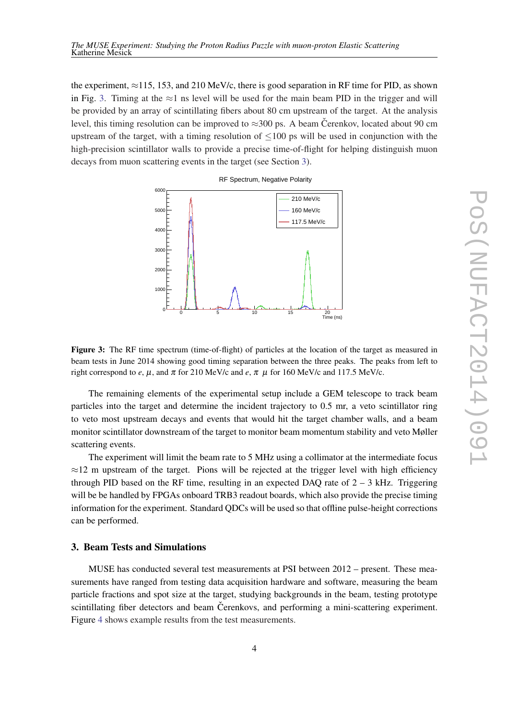the experiment,  $\approx$ 115, 153, and 210 MeV/c, there is good separation in RF time for PID, as shown in Fig. 3. Timing at the  $\approx$ 1 ns level will be used for the main beam PID in the trigger and will be provided by an array of scintillating fibers about 80 cm upstream of the target. At the analysis level, this timing resolution can be improved to  $\approx$ 300 ps. A beam Čerenkov, located about 90 cm upstream of the target, with a timing resolution of  $\leq 100$  ps will be used in conjunction with the high-precision scintillator walls to provide a precise time-of-flight for helping distinguish muon decays from muon scattering events in the target (see Section 3).





Figure 3: The RF time spectrum (time-of-flight) of particles at the location of the target as measured in beam tests in June 2014 showing good timing separation between the three peaks. The peaks from left to right correspond to *e*,  $\mu$ , and  $\pi$  for 210 MeV/c and *e*,  $\pi$   $\mu$  for 160 MeV/c and 117.5 MeV/c.

The remaining elements of the experimental setup include a GEM telescope to track beam particles into the target and determine the incident trajectory to 0.5 mr, a veto scintillator ring to veto most upstream decays and events that would hit the target chamber walls, and a beam monitor scintillator downstream of the target to monitor beam momentum stability and veto Møller scattering events.

The experiment will limit the beam rate to 5 MHz using a collimator at the intermediate focus  $\approx$ 12 m upstream of the target. Pions will be rejected at the trigger level with high efficiency through PID based on the RF time, resulting in an expected DAQ rate of  $2 - 3$  kHz. Triggering will be be handled by FPGAs onboard TRB3 readout boards, which also provide the precise timing information for the experiment. Standard QDCs will be used so that offline pulse-height corrections can be performed.

## 3. Beam Tests and Simulations

MUSE has conducted several test measurements at PSI between 2012 – present. These measurements have ranged from testing data acquisition hardware and software, measuring the beam particle fractions and spot size at the target, studying backgrounds in the beam, testing prototype scintillating fiber detectors and beam Cerenkovs, and performing a mini-scattering experiment. Figure [4](#page-4-0) shows example results from the test measurements.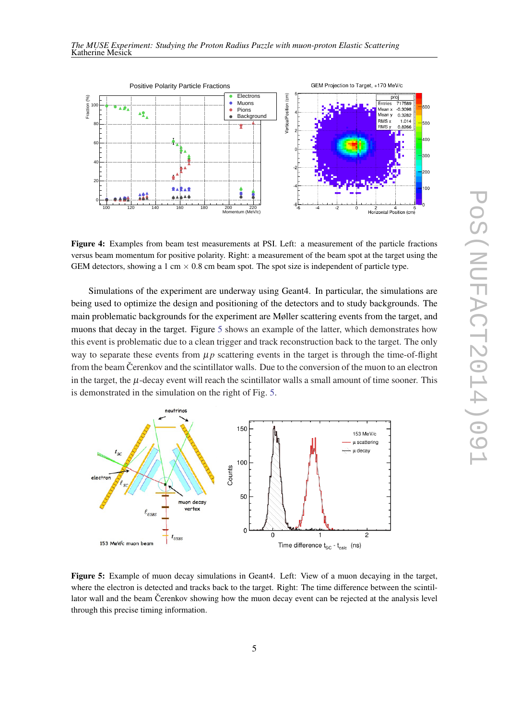<span id="page-4-0"></span>

Figure 4: Examples from beam test measurements at PSI. Left: a measurement of the particle fractions versus beam momentum for positive polarity. Right: a measurement of the beam spot at the target using the GEM detectors, showing a 1 cm  $\times$  0.8 cm beam spot. The spot size is independent of particle type.

Simulations of the experiment are underway using Geant4. In particular, the simulations are being used to optimize the design and positioning of the detectors and to study backgrounds. The main problematic backgrounds for the experiment are Møller scattering events from the target, and muons that decay in the target. Figure 5 shows an example of the latter, which demonstrates how this event is problematic due to a clean trigger and track reconstruction back to the target. The only way to separate these events from  $\mu p$  scattering events in the target is through the time-of-flight from the beam Cerenkov and the scintillator walls. Due to the conversion of the muon to an electron in the target, the  $\mu$ -decay event will reach the scintillator walls a small amount of time sooner. This is demonstrated in the simulation on the right of Fig. 5.



Figure 5: Example of muon decay simulations in Geant4. Left: View of a muon decaying in the target, where the electron is detected and tracks back to the target. Right: The time difference between the scintillator wall and the beam Cerenkov showing how the muon decay event can be rejected at the analysis level through this precise timing information.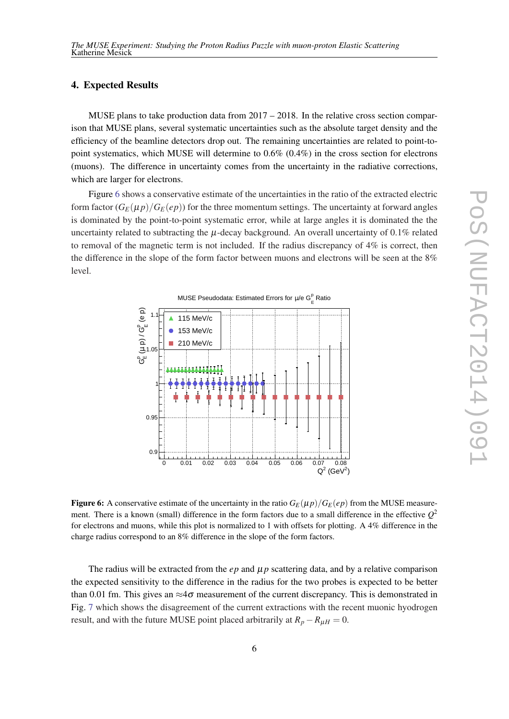## 4. Expected Results

MUSE plans to take production data from  $2017 - 2018$ . In the relative cross section comparison that MUSE plans, several systematic uncertainties such as the absolute target density and the efficiency of the beamline detectors drop out. The remaining uncertainties are related to point-topoint systematics, which MUSE will determine to 0.6% (0.4%) in the cross section for electrons (muons). The difference in uncertainty comes from the uncertainty in the radiative corrections, which are larger for electrons.

Figure 6 shows a conservative estimate of the uncertainties in the ratio of the extracted electric form factor  $(G_F(\mu p)/G_F(\epsilon p))$  for the three momentum settings. The uncertainty at forward angles is dominated by the point-to-point systematic error, while at large angles it is dominated the the uncertainty related to subtracting the  $\mu$ -decay background. An overall uncertainty of 0.1% related to removal of the magnetic term is not included. If the radius discrepancy of 4% is correct, then the difference in the slope of the form factor between muons and electrons will be seen at the 8% level.



**Figure 6:** A conservative estimate of the uncertainty in the ratio  $G_F(\mu p)/G_F(\epsilon p)$  from the MUSE measurement. There is a known (small) difference in the form factors due to a small difference in the effective  $Q^2$ for electrons and muons, while this plot is normalized to 1 with offsets for plotting. A 4% difference in the charge radius correspond to an 8% difference in the slope of the form factors.

The radius will be extracted from the  $ep$  and  $\mu p$  scattering data, and by a relative comparison the expected sensitivity to the difference in the radius for the two probes is expected to be better than 0.01 fm. This gives an  $\approx 4\sigma$  measurement of the current discrepancy. This is demonstrated in Fig. [7](#page-6-0) which shows the disagreement of the current extractions with the recent muonic hyodrogen result, and with the future MUSE point placed arbitrarily at  $R_p - R_{\mu} = 0$ .